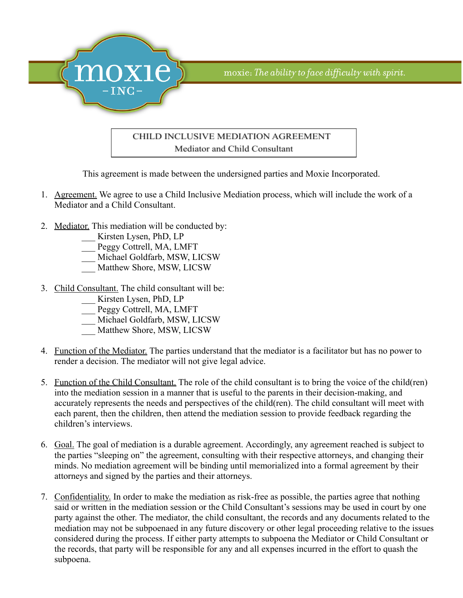

## CHILD INCLUSIVE MEDIATION AGREEMENT Mediator and Child Consultant

This agreement is made between the undersigned parties and Moxie Incorporated.

- 1. Agreement. We agree to use a Child Inclusive Mediation process, which will include the work of a Mediator and a Child Consultant.
- 2. Mediator. This mediation will be conducted by:
	- \_\_\_ Kirsten Lysen, PhD, LP
	- Peggy Cottrell, MA, LMFT
	- \_\_\_ Michael Goldfarb, MSW, LICSW
	- Matthew Shore, MSW, LICSW
- 3. Child Consultant. The child consultant will be:
	- \_\_\_ Kirsten Lysen, PhD, LP
	- \_\_\_ Peggy Cottrell, MA, LMFT
	- \_\_\_ Michael Goldfarb, MSW, LICSW
	- Matthew Shore, MSW, LICSW
- 4. Function of the Mediator. The parties understand that the mediator is a facilitator but has no power to render a decision. The mediator will not give legal advice.
- 5. Function of the Child Consultant. The role of the child consultant is to bring the voice of the child(ren) into the mediation session in a manner that is useful to the parents in their decision-making, and accurately represents the needs and perspectives of the child(ren). The child consultant will meet with each parent, then the children, then attend the mediation session to provide feedback regarding the children's interviews.
- 6. Goal. The goal of mediation is a durable agreement. Accordingly, any agreement reached is subject to the parties "sleeping on" the agreement, consulting with their respective attorneys, and changing their minds. No mediation agreement will be binding until memorialized into a formal agreement by their attorneys and signed by the parties and their attorneys.
- 7. Confidentiality. In order to make the mediation as risk-free as possible, the parties agree that nothing said or written in the mediation session or the Child Consultant's sessions may be used in court by one party against the other. The mediator, the child consultant, the records and any documents related to the mediation may not be subpoenaed in any future discovery or other legal proceeding relative to the issues considered during the process. If either party attempts to subpoena the Mediator or Child Consultant or the records, that party will be responsible for any and all expenses incurred in the effort to quash the subpoena.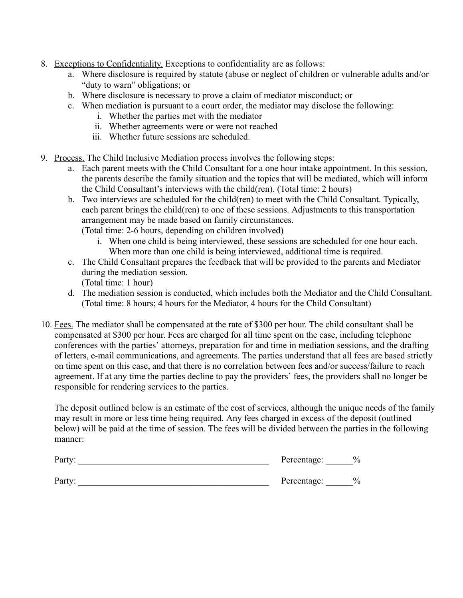- 8. Exceptions to Confidentiality. Exceptions to confidentiality are as follows:
	- a. Where disclosure is required by statute (abuse or neglect of children or vulnerable adults and/or "duty to warn" obligations; or
	- b. Where disclosure is necessary to prove a claim of mediator misconduct; or
	- c. When mediation is pursuant to a court order, the mediator may disclose the following:
		- i. Whether the parties met with the mediator
		- ii. Whether agreements were or were not reached
		- iii. Whether future sessions are scheduled.
- 9. Process. The Child Inclusive Mediation process involves the following steps:
	- a. Each parent meets with the Child Consultant for a one hour intake appointment. In this session, the parents describe the family situation and the topics that will be mediated, which will inform the Child Consultant's interviews with the child(ren). (Total time: 2 hours)
	- b. Two interviews are scheduled for the child(ren) to meet with the Child Consultant. Typically, each parent brings the child(ren) to one of these sessions. Adjustments to this transportation arrangement may be made based on family circumstances.

(Total time: 2-6 hours, depending on children involved)

- i. When one child is being interviewed, these sessions are scheduled for one hour each. When more than one child is being interviewed, additional time is required.
- c. The Child Consultant prepares the feedback that will be provided to the parents and Mediator during the mediation session.

(Total time: 1 hour)

- d. The mediation session is conducted, which includes both the Mediator and the Child Consultant. (Total time: 8 hours; 4 hours for the Mediator, 4 hours for the Child Consultant)
- 10. Fees. The mediator shall be compensated at the rate of \$300 per hour. The child consultant shall be compensated at \$300 per hour. Fees are charged for all time spent on the case, including telephone conferences with the parties' attorneys, preparation for and time in mediation sessions, and the drafting of letters, e-mail communications, and agreements. The parties understand that all fees are based strictly on time spent on this case, and that there is no correlation between fees and/or success/failure to reach agreement. If at any time the parties decline to pay the providers' fees, the providers shall no longer be responsible for rendering services to the parties.

The deposit outlined below is an estimate of the cost of services, although the unique needs of the family may result in more or less time being required. Any fees charged in excess of the deposit (outlined below) will be paid at the time of session. The fees will be divided between the parties in the following manner:

| Party: | Percentage:                  |
|--------|------------------------------|
| Party: | $\frac{0}{0}$<br>Percentage: |